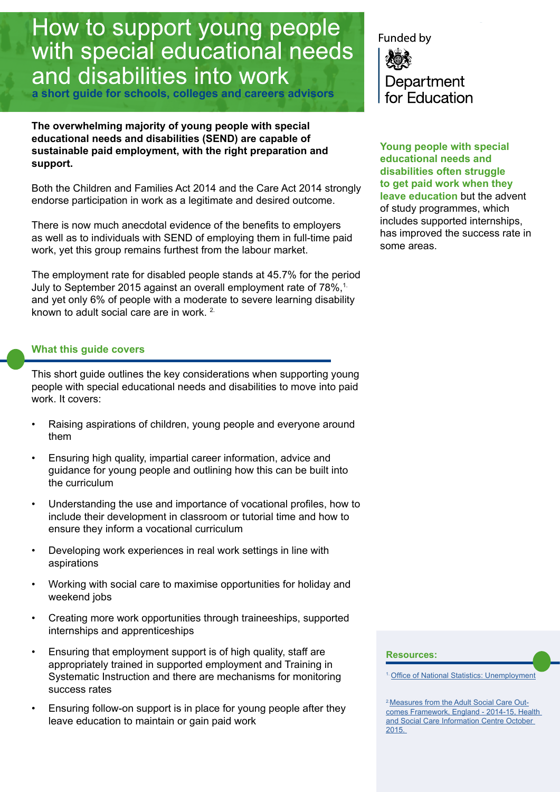# How to support young people with special educational needs and disabilities into work

**a short guide for schools, colleges and careers advisors**

**The overwhelming majority of young people with special educational needs and disabilities (SEND) are capable of sustainable paid employment, with the right preparation and support.** 

Both the Children and Families Act 2014 and the Care Act 2014 strongly endorse participation in work as a legitimate and desired outcome.

There is now much anecdotal evidence of the benefits to employers as well as to individuals with SEND of employing them in full-time paid work, yet this group remains furthest from the labour market.

The employment rate for disabled people stands at 45.7% for the period July to September 2015 against an overall employment rate of 78%.<sup>1</sup> and yet only 6% of people with a moderate to severe learning disability known to adult social care are in work.<sup>2</sup>

# **What this guide covers**

This short guide outlines the key considerations when supporting young people with special educational needs and disabilities to move into paid work. It covers:

- Raising aspirations of children, young people and everyone around them
- Ensuring high quality, impartial career information, advice and guidance for young people and outlining how this can be built into the curriculum
- Understanding the use and importance of vocational profiles, how to include their development in classroom or tutorial time and how to ensure they inform a vocational curriculum
- Developing work experiences in real work settings in line with aspirations
- Working with social care to maximise opportunities for holiday and weekend jobs
- Creating more work opportunities through traineeships, supported internships and apprenticeships
- Ensuring that employment support is of high quality, staff are appropriately trained in supported employment and Training in Systematic Instruction and there are mechanisms for monitoring success rates
- Ensuring follow-on support is in place for young people after they leave education to maintain or gain paid work

Funded by Department for Education

**Young people with special educational needs and disabilities often struggle to get paid work when they leave education** but the advent of study programmes, which includes supported internships, has improved the success rate in some areas.

#### **Resources:**

1. [Office of National Statistics: U](http://www.ons.gov.uk/employmentandlabourmarket/peoplenotinwork/unemployment)nemployment

<sup>2.</sup> Measures from the Adult Social Care Out[comes Framework, England - 2014-15, Health](http://ascof.hscic.gov.uk/Outcome/1001/1E
)  [and Social Care Information Centre October](http://ascof.hscic.gov.uk/Outcome/1001/1E
)  [2015.](http://ascof.hscic.gov.uk/Outcome/1001/1E
)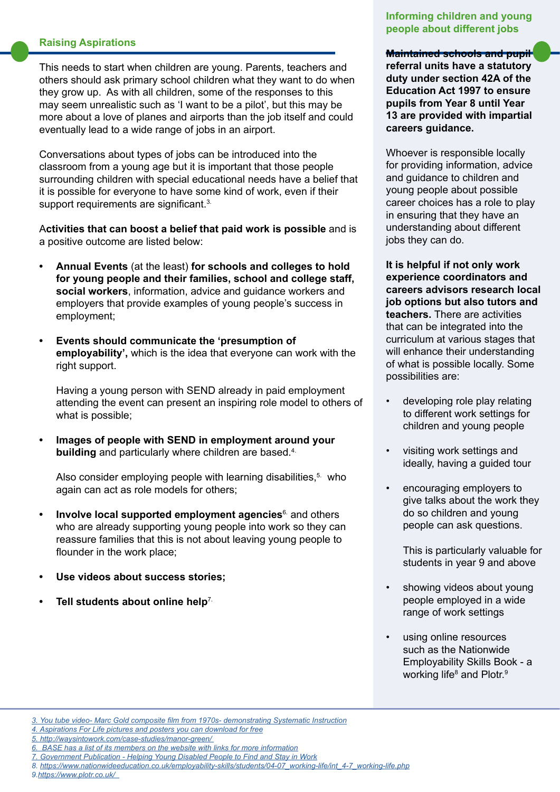# **Raising Aspirations**

This needs to start when children are young. Parents, teachers and others should ask primary school children what they want to do when they grow up. As with all children, some of the responses to this may seem unrealistic such as 'I want to be a pilot', but this may be more about a love of planes and airports than the job itself and could eventually lead to a wide range of jobs in an airport.

Conversations about types of jobs can be introduced into the classroom from a young age but it is important that those people surrounding children with special educational needs have a belief that it is possible for everyone to have some kind of work, even if their support requirements are significant.<sup>3.</sup>

A**ctivities that can boost a belief that paid work is possible** and is a positive outcome are listed below:

- **• Annual Events** (at the least) **for schools and colleges to hold for young people and their families, school and college staff, social workers**, information, advice and guidance workers and employers that provide examples of young people's success in employment;
- **• Events should communicate the 'presumption of employability',** which is the idea that everyone can work with the right support.

Having a young person with SEND already in paid employment attending the event can present an inspiring role model to others of what is possible;

**• Images of people with SEND in employment around your building** and particularly where children are based.<sup>4</sup>

Also consider employing people with learning disabilities, $5$ . who again can act as role models for others;

- **Involve local supported employment agencies<sup>6</sup> and others** who are already supporting young people into work so they can reassure families that this is not about leaving young people to flounder in the work place;
- **• Use videos about success stories;**
- **• Tell students about online help**7.

# **Informing children and young people about different jobs**

**Maintained schools and pupil** 

**referral units have a statutory duty under section 42A of the Education Act 1997 to ensure pupils from Year 8 until Year 13 are provided with impartial careers guidance.** 

Whoever is responsible locally for providing information, advice and guidance to children and young people about possible career choices has a role to play in ensuring that they have an understanding about different jobs they can do.

**It is helpful if not only work experience coordinators and careers advisors research local job options but also tutors and teachers.** There are activities that can be integrated into the curriculum at various stages that will enhance their understanding of what is possible locally. Some possibilities are:

- developing role play relating to different work settings for children and young people
- visiting work settings and ideally, having a guided tour
- encouraging employers to give talks about the work they do so children and young people can ask questions.

This is particularly valuable for students in year 9 and above

- showing videos about young people employed in a wide range of work settings
- using online resources such as the Nationwide Employability Skills Book - a working life<sup>8</sup> and Plotr.<sup>9</sup>

*[<sup>3.</sup> You tube video- Marc Gold composite film from 1970s- demonstrating Systematic Instruction](https://www.youtube.com/watch?v=u-zeVeY2zYY)*

*[<sup>4.</sup> Aspirations For Life pictures and posters you can download for free](http://base-uk.org/knowledge/afl)*

*[<sup>5.</sup> http://waysintowork.com/case-studies/manor-green/]( http://waysintowork.com/case-studies/manor-green/ )* 

*<sup>6.</sup> [BASE has a list of its members on the website with links for more information](http://base-uk.org/about/members)*

*<sup>7.</sup> [Government Publication - Helping Y]( https://www.gov.uk/government/publications/help-and-support-for-young-disabled-people-to-find-and-stay-in-work/help-and-support-for-young-disabled-people-to-find-and-stay-in-work)oung Disabled People to Find and Stay in Work*

*<sup>8.</sup> [https://www.nationwideeducation.co.uk/employability-skills/students/04-07\\_working-life/int\\_4-7\\_working-life.php](https://www.nationwideeducation.co.uk/employability-skills/students/04-07_working-life/int_4-7_working-life.php)*

*<sup>9</sup>[.https://www.plotr.co.uk/](https://www.plotr.co.uk/  )*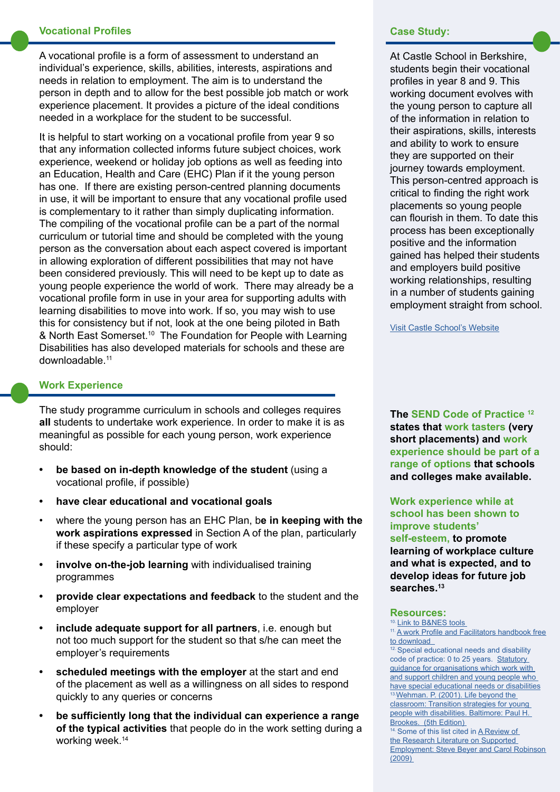### **Vocational Profiles**

A vocational profile is a form of assessment to understand an individual's experience, skills, abilities, interests, aspirations and needs in relation to employment. The aim is to understand the person in depth and to allow for the best possible job match or work experience placement. It provides a picture of the ideal conditions needed in a workplace for the student to be successful.

It is helpful to start working on a vocational profile from year 9 so that any information collected informs future subject choices, work experience, weekend or holiday job options as well as feeding into an Education, Health and Care (EHC) Plan if it the young person has one. If there are existing person-centred planning documents in use, it will be important to ensure that any vocational profile used is complementary to it rather than simply duplicating information. The compiling of the vocational profile can be a part of the normal curriculum or tutorial time and should be completed with the young person as the conversation about each aspect covered is important in allowing exploration of different possibilities that may not have been considered previously. This will need to be kept up to date as young people experience the world of work. There may already be a vocational profile form in use in your area for supporting adults with learning disabilities to move into work. If so, you may wish to use this for consistency but if not, look at the one being piloted in Bath & North East Somerset.10 The Foundation for People with Learning Disabilities has also developed materials for schools and these are downloadable.11

# **Work Experience**

The study programme curriculum in schools and colleges requires **all** students to undertake work experience. In order to make it is as meaningful as possible for each young person, work experience should:

- **• be based on in-depth knowledge of the student** (using a vocational profile, if possible)
- **• have clear educational and vocational goals**
- where the young person has an EHC Plan, b**e in keeping with the work aspirations expressed** in Section A of the plan, particularly if these specify a particular type of work
- **• involve on-the-job learning** with individualised training programmes
- **• provide clear expectations and feedback** to the student and the employer
- **• include adequate support for all partners**, i.e. enough but not too much support for the student so that s/he can meet the employer's requirements
- **• scheduled meetings with the employer** at the start and end of the placement as well as a willingness on all sides to respond quickly to any queries or concerns
- **• be sufficiently long that the individual can experience a range of the typical activities** that people do in the work setting during a working week.14

#### **Case Study:**

At Castle School in Berkshire, students begin their vocational profiles in year 8 and 9. This working document evolves with the young person to capture all of the information in relation to their aspirations, skills, interests and ability to work to ensure they are supported on their journey towards employment. This person-centred approach is critical to finding the right work placements so young people can flourish in them. To date this process has been exceptionally positive and the information gained has helped their students and employers build positive working relationships, resulting in a number of students gaining employment straight from school.

[Visit Castle School's Website](http://www.thecastleschoolnewbury.org.uk/index.asp?m=69&s=170&t=World+of+Work)

**The SEND Code of Practice 12 states that work tasters (very short placements) and work experience should be part of a range of options that schools and colleges make available.** 

# **Work experience while at school has been shown to improve students'**

**self-esteem, to promote learning of workplace culture and what is expected, and to develop ideas for future job searches.13** 

**Resources: 10.** Link to B&NES tools

11. A work Profile and Facilitators handbook free to download<br><sup>12.</sup> Special educational needs and disability

code of practice: 0 to 25 years. [Statutory](https://www.gov.uk/government/uploads/system/uploads/attachment_data/file/398815/SEND_Code_of_Practice_January_2015.pdf)  [guidance for organisations which work with](https://www.gov.uk/government/uploads/system/uploads/attachment_data/file/398815/SEND_Code_of_Practice_January_2015.pdf)  [and support children and young people who](https://www.gov.uk/government/uploads/system/uploads/attachment_data/file/398815/SEND_Code_of_Practice_January_2015.pdf)  [have special educational needs or disabilities](https://www.gov.uk/government/uploads/system/uploads/attachment_data/file/398815/SEND_Code_of_Practice_January_2015.pdf) 13 Wehman. P. (2001). Life beyond the [classroom: Transition strategies for young](http://products.brookespublishing.com/Life-Beyond-the-Classroom-P600.aspx
)  [people with disabilities. Baltimore: Paul H.](http://products.brookespublishing.com/Life-Beyond-the-Classroom-P600.aspx
) 

Brookes. (5th Edition)<br><sup>14.</sup> Some of this list cited in <u>A Review of</u> [the Research Literature on Supported](http://base-uk.org/knowledge/research-literature-review)  [Employment: Steve Beyer and Carol Robinson](http://base-uk.org/knowledge/research-literature-review)  [\(2009\)](http://base-uk.org/knowledge/research-literature-review)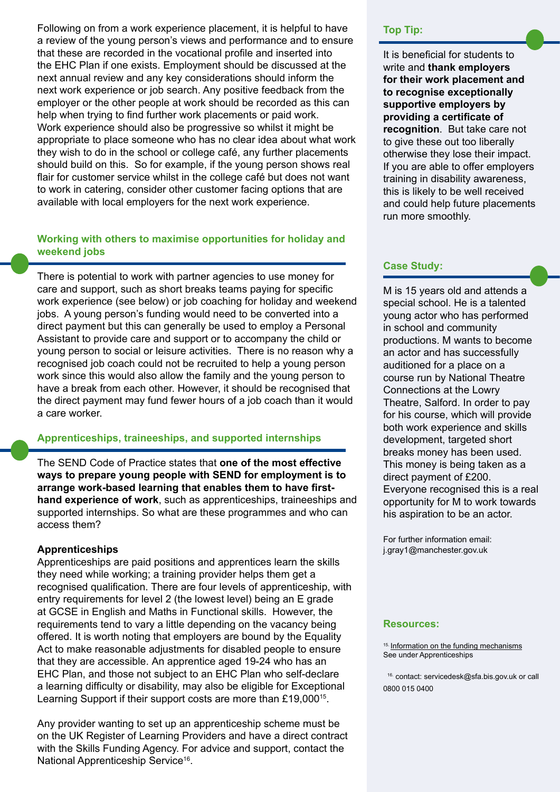Following on from a work experience placement, it is helpful to have a review of the young person's views and performance and to ensure that these are recorded in the vocational profile and inserted into the EHC Plan if one exists. Employment should be discussed at the next annual review and any key considerations should inform the next work experience or job search. Any positive feedback from the employer or the other people at work should be recorded as this can help when trying to find further work placements or paid work. Work experience should also be progressive so whilst it might be appropriate to place someone who has no clear idea about what work they wish to do in the school or college café, any further placements should build on this. So for example, if the young person shows real flair for customer service whilst in the college café but does not want to work in catering, consider other customer facing options that are available with local employers for the next work experience.

# **Working with others to maximise opportunities for holiday and weekend jobs**

There is potential to work with partner agencies to use money for care and support, such as short breaks teams paying for specific work experience (see below) or job coaching for holiday and weekend jobs. A young person's funding would need to be converted into a direct payment but this can generally be used to employ a Personal Assistant to provide care and support or to accompany the child or young person to social or leisure activities. There is no reason why a recognised job coach could not be recruited to help a young person work since this would also allow the family and the young person to have a break from each other. However, it should be recognised that the direct payment may fund fewer hours of a job coach than it would a care worker.

#### **Apprenticeships, traineeships, and supported internships**

The SEND Code of Practice states that **one of the most effective ways to prepare young people with SEND for employment is to arrange work-based learning that enables them to have firsthand experience of work**, such as apprenticeships, traineeships and supported internships. So what are these programmes and who can access them?

### **Apprenticeships**

Apprenticeships are paid positions and apprentices learn the skills they need while working; a training provider helps them get a recognised qualification. There are four levels of apprenticeship, with entry requirements for level 2 (the lowest level) being an E grade at GCSE in English and Maths in Functional skills. However, the requirements tend to vary a little depending on the vacancy being offered. It is worth noting that employers are bound by the Equality Act to make reasonable adjustments for disabled people to ensure that they are accessible. An apprentice aged 19-24 who has an EHC Plan, and those not subject to an EHC Plan who self-declare a learning difficulty or disability, may also be eligible for Exceptional Learning Support if their support costs are more than £19,000<sup>15</sup>.

Any provider wanting to set up an apprenticeship scheme must be on the UK Register of Learning Providers and have a direct contract with the Skills Funding Agency. For advice and support, contact the National Apprenticeship Service<sup>16</sup>.

#### **Top Tip:**

It is beneficial for students to write and **thank employers for their work placement and to recognise exceptionally supportive employers by providing a certificate of recognition**. But take care not to give these out too liberally otherwise they lose their impact. If you are able to offer employers training in disability awareness, this is likely to be well received and could help future placements run more smoothly.

### **Case Study:**

M is 15 years old and attends a special school. He is a talented young actor who has performed in school and community productions. M wants to become an actor and has successfully auditioned for a place on a course run by National Theatre Connections at the Lowry Theatre, Salford. In order to pay for his course, which will provide both work experience and skills development, targeted short breaks money has been used. This money is being taken as a direct payment of £200. Everyone recognised this is a real opportunity for M to work towards his aspiration to be an actor.

For further information email: j.gray1@manchester.gov.uk

#### **Resources:**

15. [Information on the funding mechanisms](https://www.gov.uk/government/uploads/system/uploads/attachment_data/file/414797/Funding_Rules_v2_March_2015.pdf
) See under Apprenticeships

 16. contact: servicedesk@sfa.bis.gov.uk or call 0800 015 0400